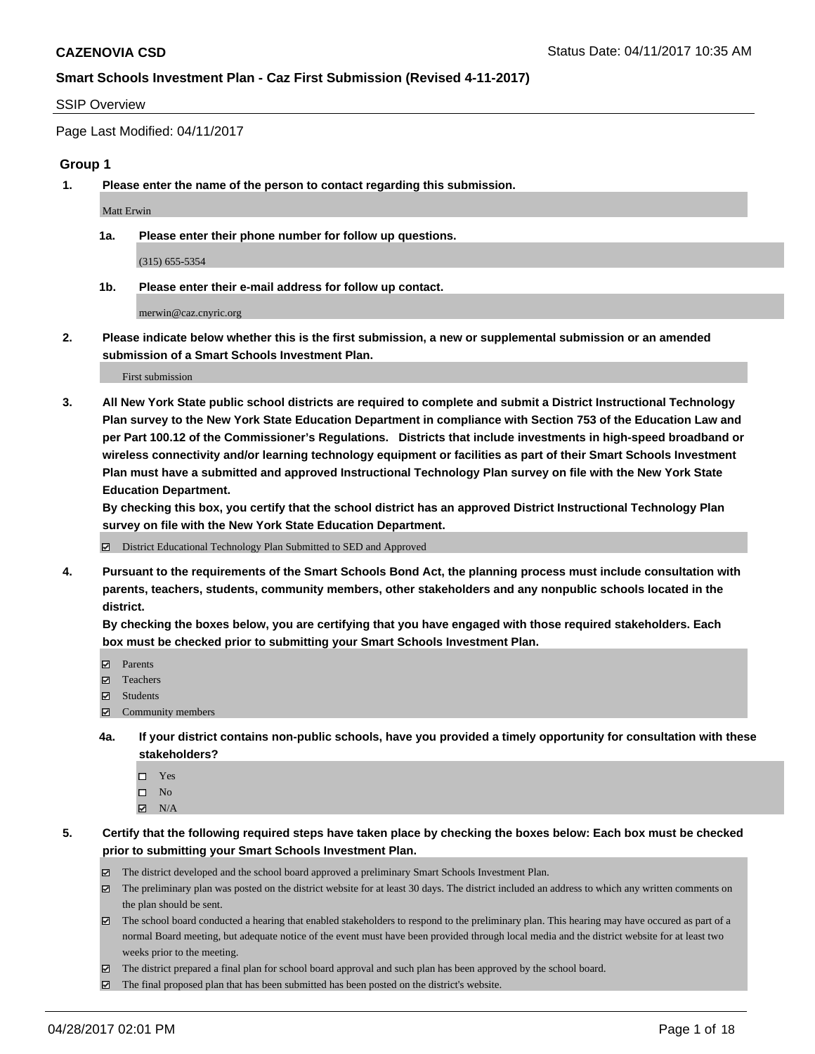#### SSIP Overview

Page Last Modified: 04/11/2017

#### **Group 1**

**1. Please enter the name of the person to contact regarding this submission.**

Matt Erwin

**1a. Please enter their phone number for follow up questions.**

(315) 655-5354

**1b. Please enter their e-mail address for follow up contact.**

merwin@caz.cnyric.org

**2. Please indicate below whether this is the first submission, a new or supplemental submission or an amended submission of a Smart Schools Investment Plan.**

First submission

**3. All New York State public school districts are required to complete and submit a District Instructional Technology Plan survey to the New York State Education Department in compliance with Section 753 of the Education Law and per Part 100.12 of the Commissioner's Regulations. Districts that include investments in high-speed broadband or wireless connectivity and/or learning technology equipment or facilities as part of their Smart Schools Investment Plan must have a submitted and approved Instructional Technology Plan survey on file with the New York State Education Department.** 

**By checking this box, you certify that the school district has an approved District Instructional Technology Plan survey on file with the New York State Education Department.**

District Educational Technology Plan Submitted to SED and Approved

**4. Pursuant to the requirements of the Smart Schools Bond Act, the planning process must include consultation with parents, teachers, students, community members, other stakeholders and any nonpublic schools located in the district.** 

**By checking the boxes below, you are certifying that you have engaged with those required stakeholders. Each box must be checked prior to submitting your Smart Schools Investment Plan.**

- **マ** Parents
- □ Teachers
- Students
- $\Xi$  Community members
- **4a. If your district contains non-public schools, have you provided a timely opportunity for consultation with these stakeholders?**
	- Yes
	- $\hfill \square$  No
	- $\boxtimes$  N/A
- **5. Certify that the following required steps have taken place by checking the boxes below: Each box must be checked prior to submitting your Smart Schools Investment Plan.**
	- The district developed and the school board approved a preliminary Smart Schools Investment Plan.
	- $\boxtimes$  The preliminary plan was posted on the district website for at least 30 days. The district included an address to which any written comments on the plan should be sent.
	- $\boxtimes$  The school board conducted a hearing that enabled stakeholders to respond to the preliminary plan. This hearing may have occured as part of a normal Board meeting, but adequate notice of the event must have been provided through local media and the district website for at least two weeks prior to the meeting.
	- The district prepared a final plan for school board approval and such plan has been approved by the school board.
	- $\boxtimes$  The final proposed plan that has been submitted has been posted on the district's website.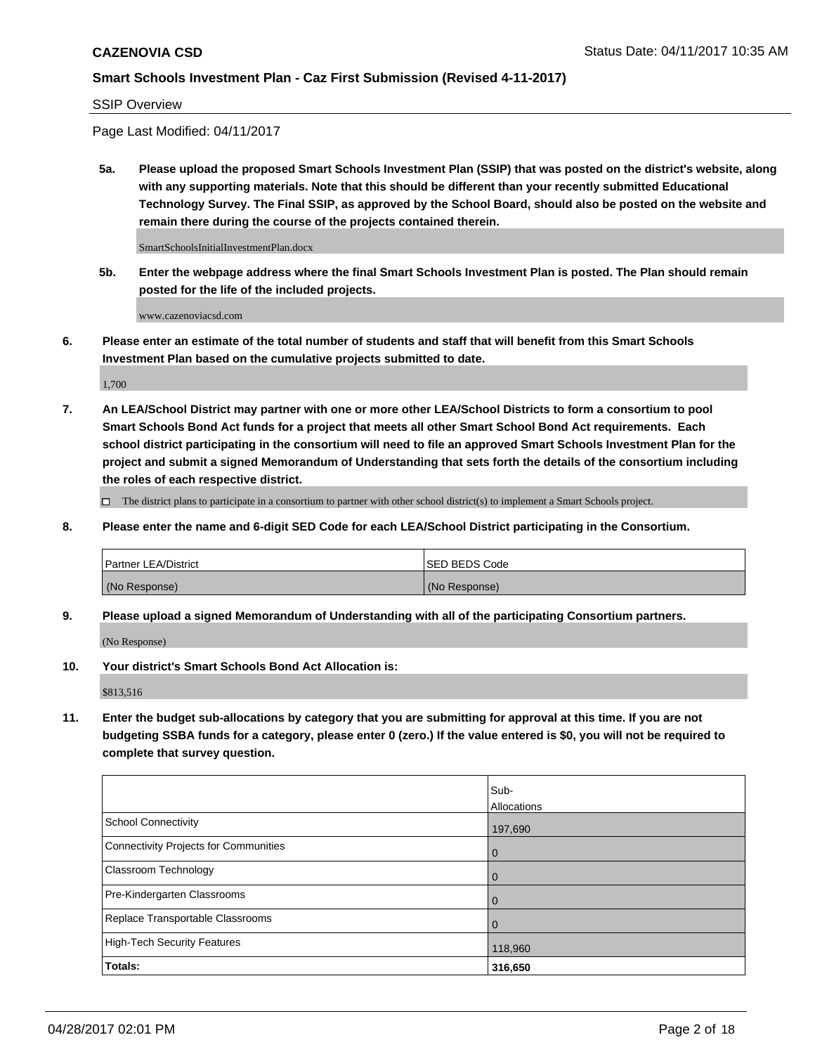#### SSIP Overview

Page Last Modified: 04/11/2017

**5a. Please upload the proposed Smart Schools Investment Plan (SSIP) that was posted on the district's website, along with any supporting materials. Note that this should be different than your recently submitted Educational Technology Survey. The Final SSIP, as approved by the School Board, should also be posted on the website and remain there during the course of the projects contained therein.**

SmartSchoolsInitialInvestmentPlan.docx

**5b. Enter the webpage address where the final Smart Schools Investment Plan is posted. The Plan should remain posted for the life of the included projects.**

www.cazenoviacsd.com

**6. Please enter an estimate of the total number of students and staff that will benefit from this Smart Schools Investment Plan based on the cumulative projects submitted to date.**

1,700

**7. An LEA/School District may partner with one or more other LEA/School Districts to form a consortium to pool Smart Schools Bond Act funds for a project that meets all other Smart School Bond Act requirements. Each school district participating in the consortium will need to file an approved Smart Schools Investment Plan for the project and submit a signed Memorandum of Understanding that sets forth the details of the consortium including the roles of each respective district.**

 $\Box$  The district plans to participate in a consortium to partner with other school district(s) to implement a Smart Schools project.

**8. Please enter the name and 6-digit SED Code for each LEA/School District participating in the Consortium.**

| <b>Partner LEA/District</b> | <b>ISED BEDS Code</b> |
|-----------------------------|-----------------------|
| (No Response)               | (No Response)         |

**9. Please upload a signed Memorandum of Understanding with all of the participating Consortium partners.**

(No Response)

**10. Your district's Smart Schools Bond Act Allocation is:**

\$813,516

**11. Enter the budget sub-allocations by category that you are submitting for approval at this time. If you are not budgeting SSBA funds for a category, please enter 0 (zero.) If the value entered is \$0, you will not be required to complete that survey question.**

|                                              | Sub-        |
|----------------------------------------------|-------------|
|                                              | Allocations |
| <b>School Connectivity</b>                   | 197,690     |
| <b>Connectivity Projects for Communities</b> | 0           |
| <b>Classroom Technology</b>                  | 0           |
| Pre-Kindergarten Classrooms                  | $\mathbf 0$ |
| Replace Transportable Classrooms             | 0           |
| <b>High-Tech Security Features</b>           | 118,960     |
| Totals:                                      | 316,650     |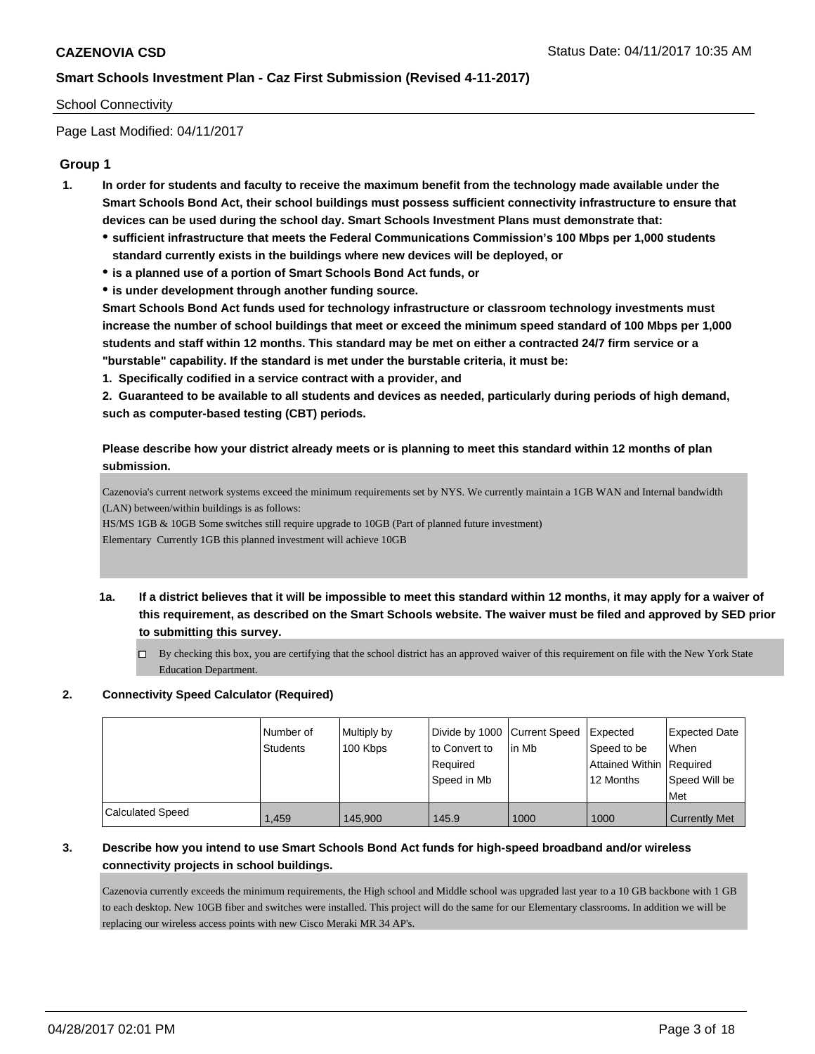#### School Connectivity

Page Last Modified: 04/11/2017

### **Group 1**

- **1. In order for students and faculty to receive the maximum benefit from the technology made available under the Smart Schools Bond Act, their school buildings must possess sufficient connectivity infrastructure to ensure that devices can be used during the school day. Smart Schools Investment Plans must demonstrate that:**
	- **sufficient infrastructure that meets the Federal Communications Commission's 100 Mbps per 1,000 students standard currently exists in the buildings where new devices will be deployed, or**
	- **is a planned use of a portion of Smart Schools Bond Act funds, or**
	- **is under development through another funding source.**

**Smart Schools Bond Act funds used for technology infrastructure or classroom technology investments must increase the number of school buildings that meet or exceed the minimum speed standard of 100 Mbps per 1,000 students and staff within 12 months. This standard may be met on either a contracted 24/7 firm service or a "burstable" capability. If the standard is met under the burstable criteria, it must be:**

**1. Specifically codified in a service contract with a provider, and**

**2. Guaranteed to be available to all students and devices as needed, particularly during periods of high demand, such as computer-based testing (CBT) periods.**

### **Please describe how your district already meets or is planning to meet this standard within 12 months of plan submission.**

Cazenovia's current network systems exceed the minimum requirements set by NYS. We currently maintain a 1GB WAN and Internal bandwidth (LAN) between/within buildings is as follows:

HS/MS 1GB & 10GB Some switches still require upgrade to 10GB (Part of planned future investment)

Elementary Currently 1GB this planned investment will achieve 10GB

- **1a. If a district believes that it will be impossible to meet this standard within 12 months, it may apply for a waiver of this requirement, as described on the Smart Schools website. The waiver must be filed and approved by SED prior to submitting this survey.**
	- $\Box$  By checking this box, you are certifying that the school district has an approved waiver of this requirement on file with the New York State Education Department.

#### **2. Connectivity Speed Calculator (Required)**

|                  | Number of<br>Students | Multiply by<br>100 Kbps | Divide by 1000 Current Speed<br>to Convert to<br>Required<br>Speed in Mb | lin Mb | <b>Expected</b><br>Speed to be<br>Attained Within   Required<br>12 Months | Expected Date<br>When<br>Speed Will be<br>l Met |
|------------------|-----------------------|-------------------------|--------------------------------------------------------------------------|--------|---------------------------------------------------------------------------|-------------------------------------------------|
| Calculated Speed | 1.459                 | 145.900                 | 145.9                                                                    | 1000   | 1000                                                                      | <b>Currently Met</b>                            |

# **3. Describe how you intend to use Smart Schools Bond Act funds for high-speed broadband and/or wireless connectivity projects in school buildings.**

Cazenovia currently exceeds the minimum requirements, the High school and Middle school was upgraded last year to a 10 GB backbone with 1 GB to each desktop. New 10GB fiber and switches were installed. This project will do the same for our Elementary classrooms. In addition we will be replacing our wireless access points with new Cisco Meraki MR 34 AP's.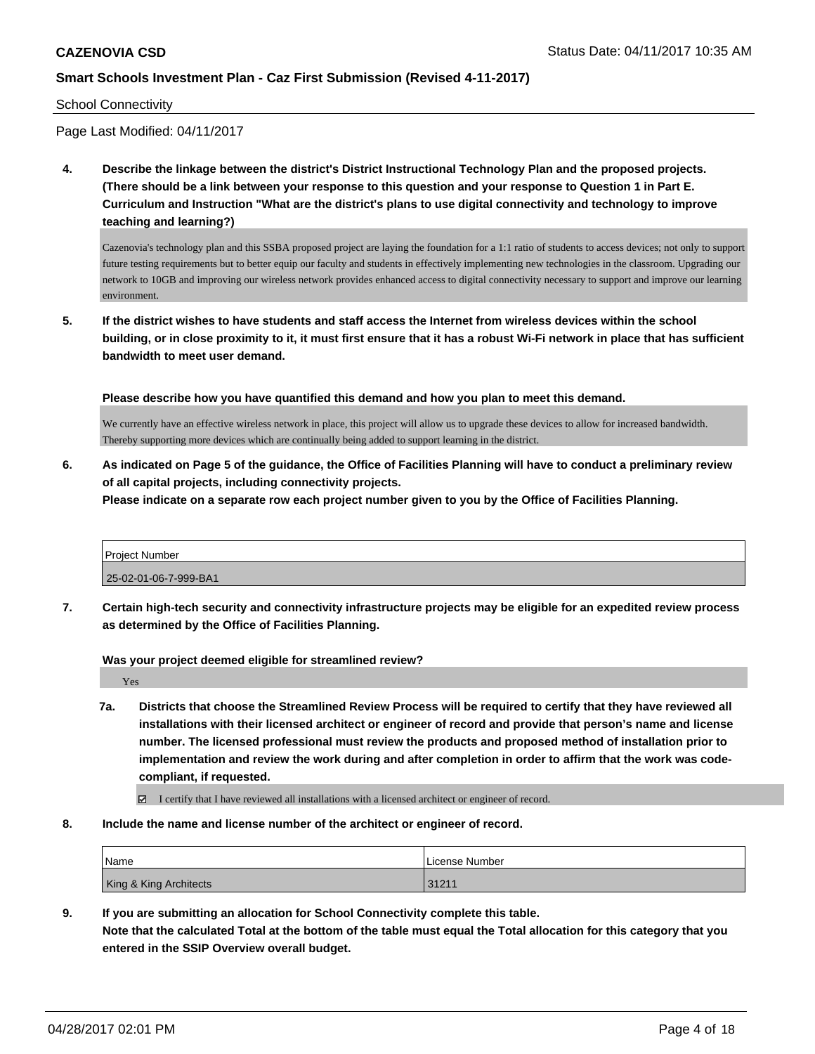#### School Connectivity

Page Last Modified: 04/11/2017

**4. Describe the linkage between the district's District Instructional Technology Plan and the proposed projects. (There should be a link between your response to this question and your response to Question 1 in Part E. Curriculum and Instruction "What are the district's plans to use digital connectivity and technology to improve teaching and learning?)**

Cazenovia's technology plan and this SSBA proposed project are laying the foundation for a 1:1 ratio of students to access devices; not only to support future testing requirements but to better equip our faculty and students in effectively implementing new technologies in the classroom. Upgrading our network to 10GB and improving our wireless network provides enhanced access to digital connectivity necessary to support and improve our learning environment.

**5. If the district wishes to have students and staff access the Internet from wireless devices within the school building, or in close proximity to it, it must first ensure that it has a robust Wi-Fi network in place that has sufficient bandwidth to meet user demand.**

**Please describe how you have quantified this demand and how you plan to meet this demand.**

We currently have an effective wireless network in place, this project will allow us to upgrade these devices to allow for increased bandwidth. Thereby supporting more devices which are continually being added to support learning in the district.

**6. As indicated on Page 5 of the guidance, the Office of Facilities Planning will have to conduct a preliminary review of all capital projects, including connectivity projects.**

**Please indicate on a separate row each project number given to you by the Office of Facilities Planning.**

| <b>Project Number</b> |  |
|-----------------------|--|
| 25-02-01-06-7-999-BA1 |  |

**7. Certain high-tech security and connectivity infrastructure projects may be eligible for an expedited review process as determined by the Office of Facilities Planning.**

**Was your project deemed eligible for streamlined review?**

Yes

**7a. Districts that choose the Streamlined Review Process will be required to certify that they have reviewed all installations with their licensed architect or engineer of record and provide that person's name and license number. The licensed professional must review the products and proposed method of installation prior to implementation and review the work during and after completion in order to affirm that the work was codecompliant, if requested.**

I certify that I have reviewed all installations with a licensed architect or engineer of record.

**8. Include the name and license number of the architect or engineer of record.**

| Name                   | License Number |
|------------------------|----------------|
| King & King Architects | 31211          |

**9. If you are submitting an allocation for School Connectivity complete this table.**

**Note that the calculated Total at the bottom of the table must equal the Total allocation for this category that you entered in the SSIP Overview overall budget.**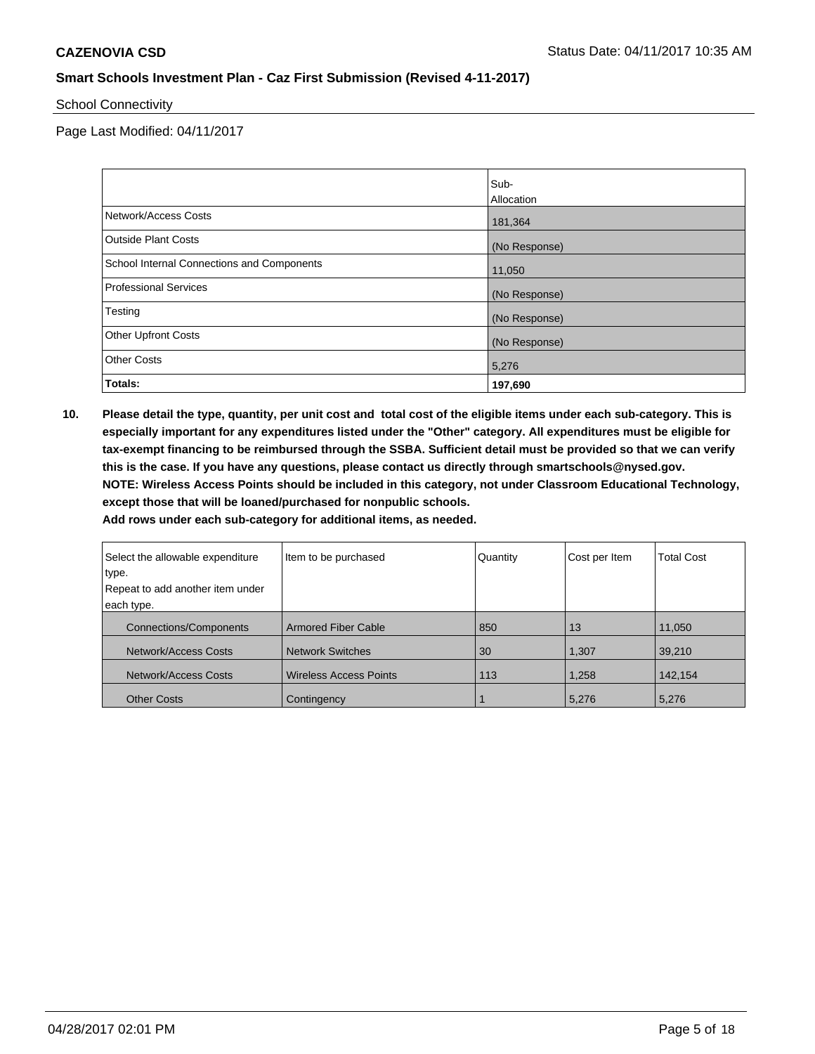School Connectivity

Page Last Modified: 04/11/2017

|                                            | Sub-              |
|--------------------------------------------|-------------------|
|                                            | <b>Allocation</b> |
| Network/Access Costs                       | 181,364           |
| <b>Outside Plant Costs</b>                 | (No Response)     |
| School Internal Connections and Components | 11,050            |
| <b>Professional Services</b>               | (No Response)     |
| Testing                                    | (No Response)     |
| <b>Other Upfront Costs</b>                 | (No Response)     |
| <b>Other Costs</b>                         | 5,276             |
| Totals:                                    | 197,690           |

**10. Please detail the type, quantity, per unit cost and total cost of the eligible items under each sub-category. This is especially important for any expenditures listed under the "Other" category. All expenditures must be eligible for tax-exempt financing to be reimbursed through the SSBA. Sufficient detail must be provided so that we can verify this is the case. If you have any questions, please contact us directly through smartschools@nysed.gov. NOTE: Wireless Access Points should be included in this category, not under Classroom Educational Technology, except those that will be loaned/purchased for nonpublic schools.**

| Select the allowable expenditure | Item to be purchased          | Quantity | Cost per Item | <b>Total Cost</b> |
|----------------------------------|-------------------------------|----------|---------------|-------------------|
| ∣type.                           |                               |          |               |                   |
| Repeat to add another item under |                               |          |               |                   |
| each type.                       |                               |          |               |                   |
| <b>Connections/Components</b>    | <b>Armored Fiber Cable</b>    | 850      | 13            | 11,050            |
| Network/Access Costs             | <b>Network Switches</b>       | 30       | 1,307         | 39,210            |
| Network/Access Costs             | <b>Wireless Access Points</b> | 113      | 1,258         | 142,154           |
| <b>Other Costs</b>               | Contingency                   |          | 5,276         | 5,276             |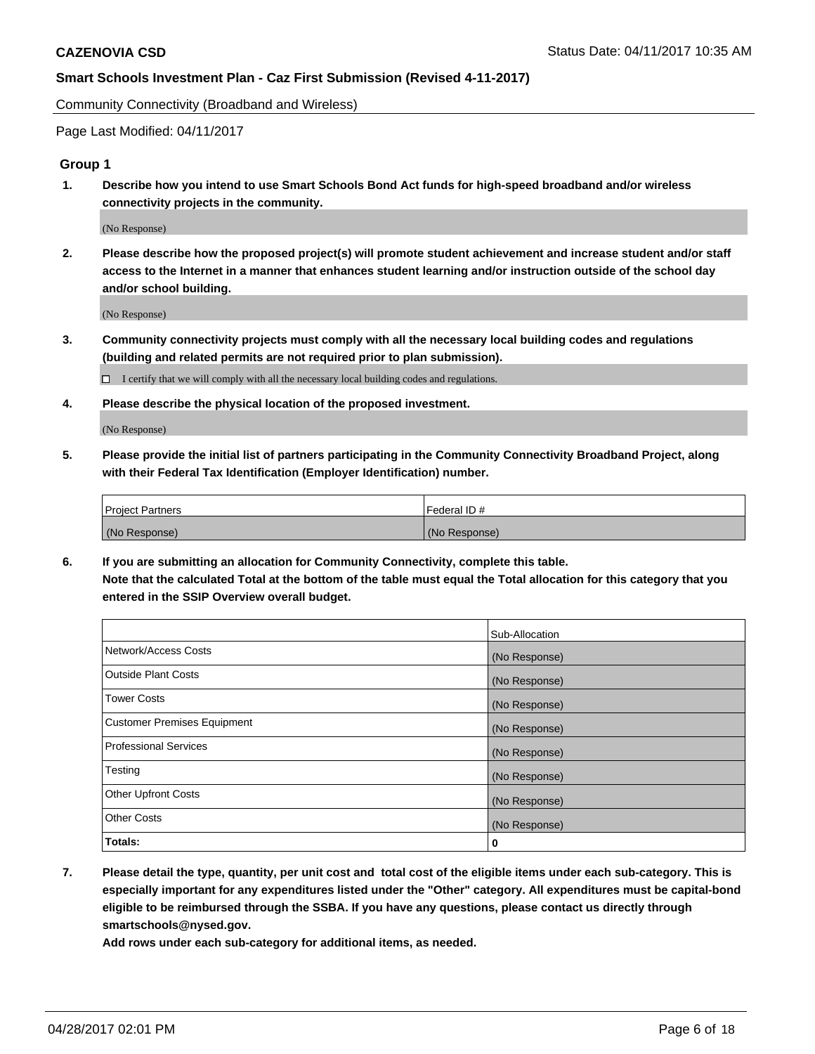Community Connectivity (Broadband and Wireless)

Page Last Modified: 04/11/2017

### **Group 1**

**1. Describe how you intend to use Smart Schools Bond Act funds for high-speed broadband and/or wireless connectivity projects in the community.**

(No Response)

**2. Please describe how the proposed project(s) will promote student achievement and increase student and/or staff access to the Internet in a manner that enhances student learning and/or instruction outside of the school day and/or school building.**

(No Response)

**3. Community connectivity projects must comply with all the necessary local building codes and regulations (building and related permits are not required prior to plan submission).**

 $\Box$  I certify that we will comply with all the necessary local building codes and regulations.

**4. Please describe the physical location of the proposed investment.**

(No Response)

**5. Please provide the initial list of partners participating in the Community Connectivity Broadband Project, along with their Federal Tax Identification (Employer Identification) number.**

| <b>Project Partners</b> | Federal ID#   |
|-------------------------|---------------|
| (No Response)           | (No Response) |

**6. If you are submitting an allocation for Community Connectivity, complete this table. Note that the calculated Total at the bottom of the table must equal the Total allocation for this category that you entered in the SSIP Overview overall budget.**

|                                    | Sub-Allocation |
|------------------------------------|----------------|
| Network/Access Costs               | (No Response)  |
| Outside Plant Costs                | (No Response)  |
| <b>Tower Costs</b>                 | (No Response)  |
| <b>Customer Premises Equipment</b> | (No Response)  |
| <b>Professional Services</b>       | (No Response)  |
| Testing                            | (No Response)  |
| <b>Other Upfront Costs</b>         | (No Response)  |
| <b>Other Costs</b>                 | (No Response)  |
| Totals:                            | 0              |

**7. Please detail the type, quantity, per unit cost and total cost of the eligible items under each sub-category. This is especially important for any expenditures listed under the "Other" category. All expenditures must be capital-bond eligible to be reimbursed through the SSBA. If you have any questions, please contact us directly through smartschools@nysed.gov.**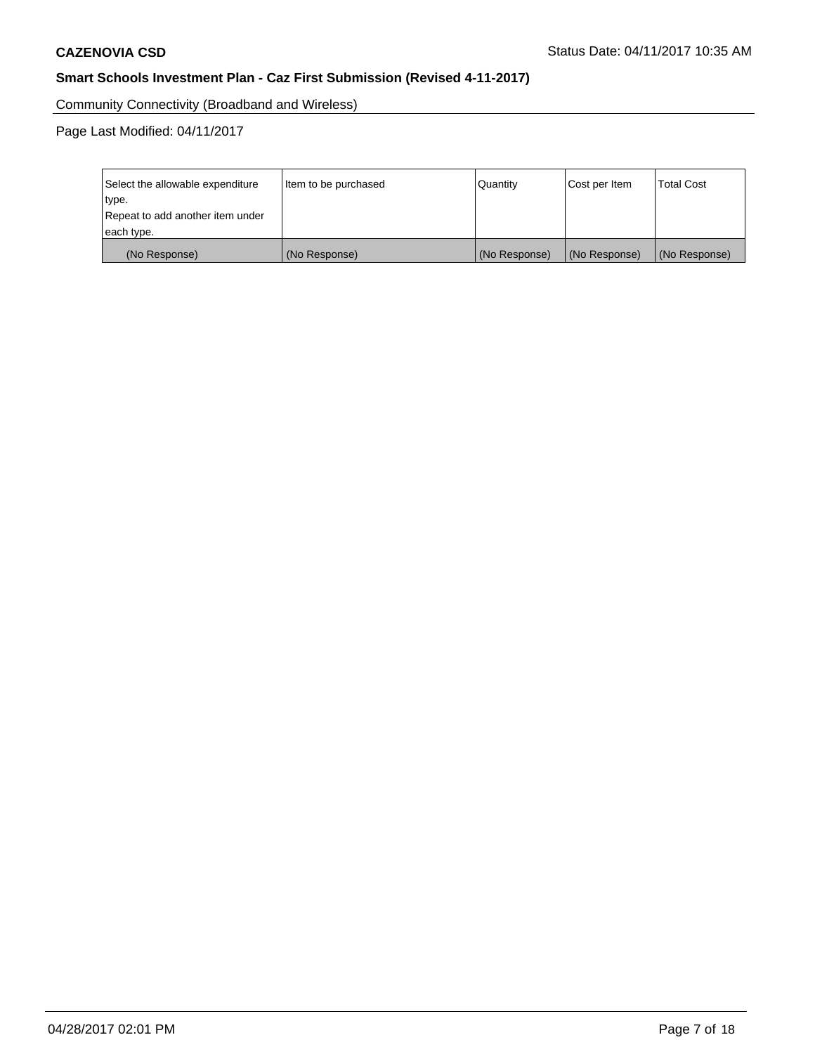Community Connectivity (Broadband and Wireless)

| Select the allowable expenditure<br>type.<br>Repeat to add another item under | Item to be purchased | Quantity      | Cost per Item | <b>Total Cost</b> |
|-------------------------------------------------------------------------------|----------------------|---------------|---------------|-------------------|
| each type.                                                                    |                      |               |               |                   |
| (No Response)                                                                 | (No Response)        | (No Response) | (No Response) | (No Response)     |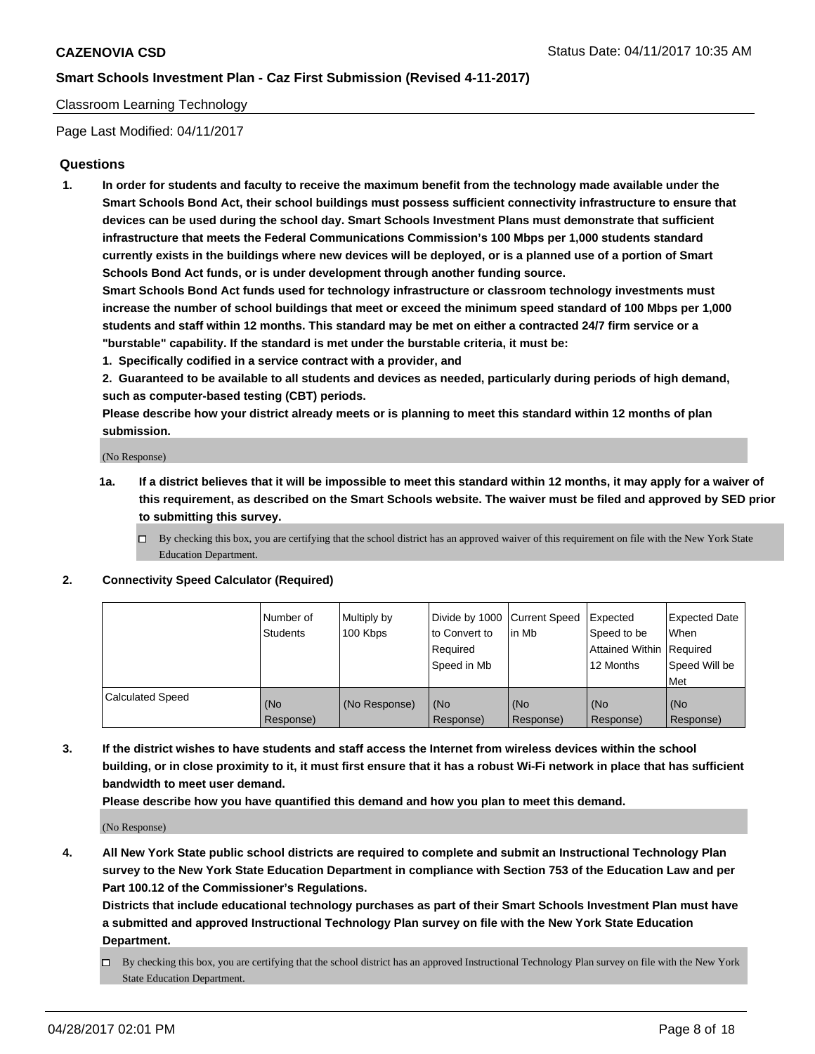#### Classroom Learning Technology

Page Last Modified: 04/11/2017

### **Questions**

**1. In order for students and faculty to receive the maximum benefit from the technology made available under the Smart Schools Bond Act, their school buildings must possess sufficient connectivity infrastructure to ensure that devices can be used during the school day. Smart Schools Investment Plans must demonstrate that sufficient infrastructure that meets the Federal Communications Commission's 100 Mbps per 1,000 students standard currently exists in the buildings where new devices will be deployed, or is a planned use of a portion of Smart Schools Bond Act funds, or is under development through another funding source.**

**Smart Schools Bond Act funds used for technology infrastructure or classroom technology investments must increase the number of school buildings that meet or exceed the minimum speed standard of 100 Mbps per 1,000 students and staff within 12 months. This standard may be met on either a contracted 24/7 firm service or a "burstable" capability. If the standard is met under the burstable criteria, it must be:**

- **1. Specifically codified in a service contract with a provider, and**
- **2. Guaranteed to be available to all students and devices as needed, particularly during periods of high demand, such as computer-based testing (CBT) periods.**

**Please describe how your district already meets or is planning to meet this standard within 12 months of plan submission.**

(No Response)

- **1a. If a district believes that it will be impossible to meet this standard within 12 months, it may apply for a waiver of this requirement, as described on the Smart Schools website. The waiver must be filed and approved by SED prior to submitting this survey.**
	- $\Box$  By checking this box, you are certifying that the school district has an approved waiver of this requirement on file with the New York State Education Department.

#### **2. Connectivity Speed Calculator (Required)**

|                         | l Number of<br>Students | Multiply by<br>100 Kbps | Divide by 1000   Current Speed<br>to Convert to<br>Required<br>Speed in Mb | l in Mb          | Expected<br>Speed to be<br>Attained Within Required<br>12 Months | <b>Expected Date</b><br>When<br>Speed Will be<br>Met |
|-------------------------|-------------------------|-------------------------|----------------------------------------------------------------------------|------------------|------------------------------------------------------------------|------------------------------------------------------|
| <b>Calculated Speed</b> | (No<br>Response)        | (No Response)           | (No<br>Response)                                                           | (No<br>Response) | (No<br>Response)                                                 | (No<br>Response)                                     |

**3. If the district wishes to have students and staff access the Internet from wireless devices within the school building, or in close proximity to it, it must first ensure that it has a robust Wi-Fi network in place that has sufficient bandwidth to meet user demand.**

**Please describe how you have quantified this demand and how you plan to meet this demand.**

(No Response)

**4. All New York State public school districts are required to complete and submit an Instructional Technology Plan survey to the New York State Education Department in compliance with Section 753 of the Education Law and per Part 100.12 of the Commissioner's Regulations.**

**Districts that include educational technology purchases as part of their Smart Schools Investment Plan must have a submitted and approved Instructional Technology Plan survey on file with the New York State Education Department.**

 $\Box$  By checking this box, you are certifying that the school district has an approved Instructional Technology Plan survey on file with the New York State Education Department.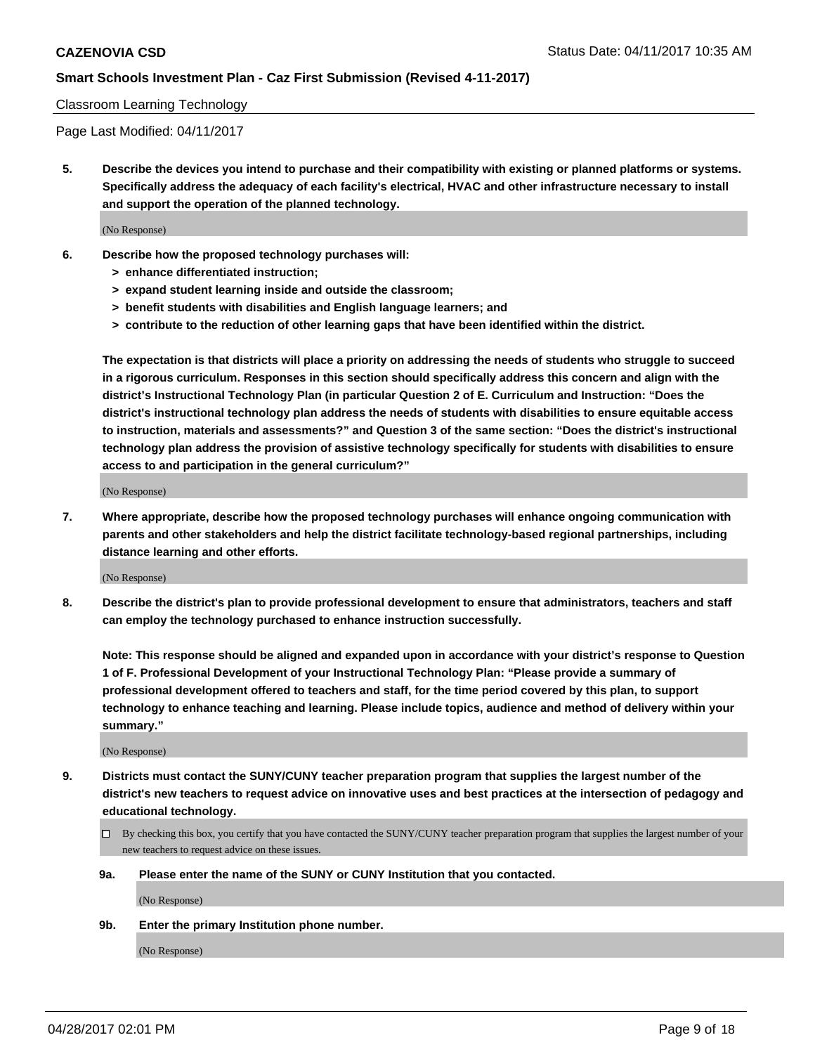#### Classroom Learning Technology

Page Last Modified: 04/11/2017

**5. Describe the devices you intend to purchase and their compatibility with existing or planned platforms or systems. Specifically address the adequacy of each facility's electrical, HVAC and other infrastructure necessary to install and support the operation of the planned technology.**

(No Response)

- **6. Describe how the proposed technology purchases will:**
	- **> enhance differentiated instruction;**
	- **> expand student learning inside and outside the classroom;**
	- **> benefit students with disabilities and English language learners; and**
	- **> contribute to the reduction of other learning gaps that have been identified within the district.**

**The expectation is that districts will place a priority on addressing the needs of students who struggle to succeed in a rigorous curriculum. Responses in this section should specifically address this concern and align with the district's Instructional Technology Plan (in particular Question 2 of E. Curriculum and Instruction: "Does the district's instructional technology plan address the needs of students with disabilities to ensure equitable access to instruction, materials and assessments?" and Question 3 of the same section: "Does the district's instructional technology plan address the provision of assistive technology specifically for students with disabilities to ensure access to and participation in the general curriculum?"**

(No Response)

**7. Where appropriate, describe how the proposed technology purchases will enhance ongoing communication with parents and other stakeholders and help the district facilitate technology-based regional partnerships, including distance learning and other efforts.**

(No Response)

**8. Describe the district's plan to provide professional development to ensure that administrators, teachers and staff can employ the technology purchased to enhance instruction successfully.**

**Note: This response should be aligned and expanded upon in accordance with your district's response to Question 1 of F. Professional Development of your Instructional Technology Plan: "Please provide a summary of professional development offered to teachers and staff, for the time period covered by this plan, to support technology to enhance teaching and learning. Please include topics, audience and method of delivery within your summary."**

(No Response)

- **9. Districts must contact the SUNY/CUNY teacher preparation program that supplies the largest number of the district's new teachers to request advice on innovative uses and best practices at the intersection of pedagogy and educational technology.**
	- By checking this box, you certify that you have contacted the SUNY/CUNY teacher preparation program that supplies the largest number of your new teachers to request advice on these issues.
	- **9a. Please enter the name of the SUNY or CUNY Institution that you contacted.**

(No Response)

**9b. Enter the primary Institution phone number.**

(No Response)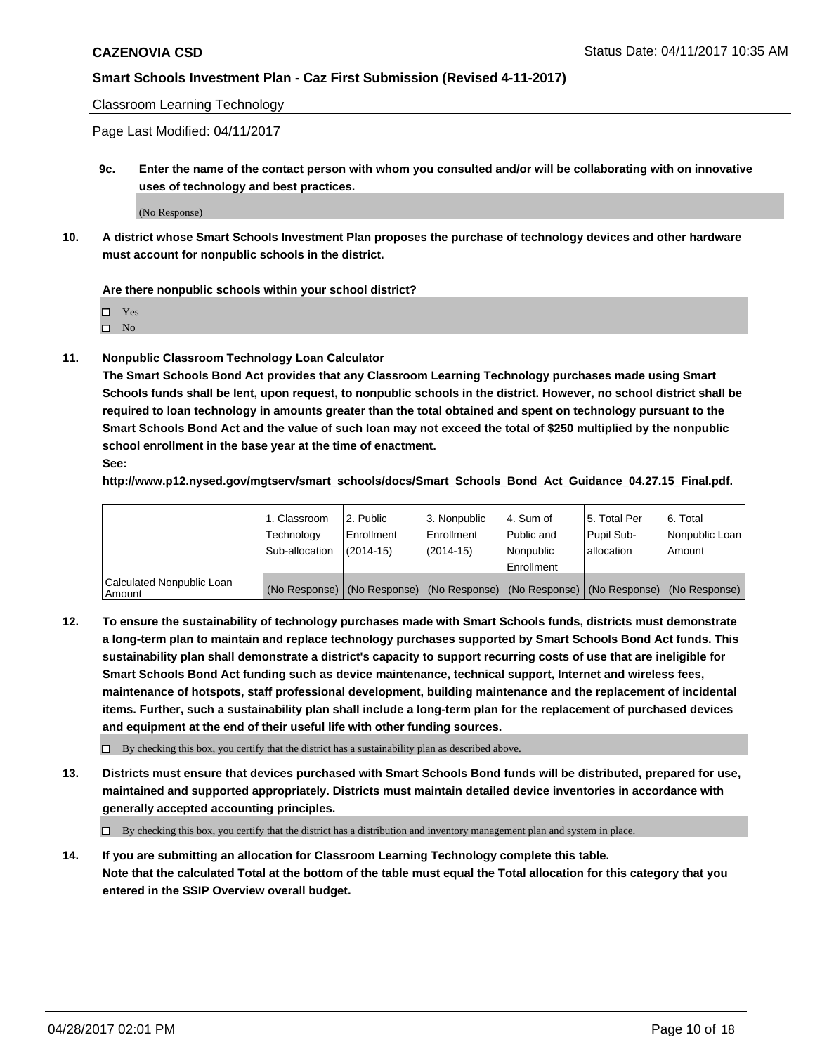Classroom Learning Technology

Page Last Modified: 04/11/2017

**9c. Enter the name of the contact person with whom you consulted and/or will be collaborating with on innovative uses of technology and best practices.**

(No Response)

**10. A district whose Smart Schools Investment Plan proposes the purchase of technology devices and other hardware must account for nonpublic schools in the district.**

**Are there nonpublic schools within your school district?**

Yes

 $\square$  No

**11. Nonpublic Classroom Technology Loan Calculator**

**The Smart Schools Bond Act provides that any Classroom Learning Technology purchases made using Smart Schools funds shall be lent, upon request, to nonpublic schools in the district. However, no school district shall be required to loan technology in amounts greater than the total obtained and spent on technology pursuant to the Smart Schools Bond Act and the value of such loan may not exceed the total of \$250 multiplied by the nonpublic school enrollment in the base year at the time of enactment.**

**See:**

**http://www.p12.nysed.gov/mgtserv/smart\_schools/docs/Smart\_Schools\_Bond\_Act\_Guidance\_04.27.15\_Final.pdf.**

|                                       | 1. Classroom<br>Technology | l 2. Public<br>Enrollment | 3. Nonpublic<br>Enrollment | l 4. Sum of<br>Public and | 15. Total Per<br>Pupil Sub- | 6. Total<br>Nonpublic Loan                                                                    |
|---------------------------------------|----------------------------|---------------------------|----------------------------|---------------------------|-----------------------------|-----------------------------------------------------------------------------------------------|
|                                       | Sub-allocation             | $(2014-15)$               | $(2014-15)$                | l Nonpublic               | allocation                  | Amount                                                                                        |
|                                       |                            |                           |                            | Enrollment                |                             |                                                                                               |
| Calculated Nonpublic Loan<br>  Amount |                            |                           |                            |                           |                             | (No Response)   (No Response)   (No Response)   (No Response)   (No Response)   (No Response) |

**12. To ensure the sustainability of technology purchases made with Smart Schools funds, districts must demonstrate a long-term plan to maintain and replace technology purchases supported by Smart Schools Bond Act funds. This sustainability plan shall demonstrate a district's capacity to support recurring costs of use that are ineligible for Smart Schools Bond Act funding such as device maintenance, technical support, Internet and wireless fees, maintenance of hotspots, staff professional development, building maintenance and the replacement of incidental items. Further, such a sustainability plan shall include a long-term plan for the replacement of purchased devices and equipment at the end of their useful life with other funding sources.**

 $\Box$  By checking this box, you certify that the district has a sustainability plan as described above.

**13. Districts must ensure that devices purchased with Smart Schools Bond funds will be distributed, prepared for use, maintained and supported appropriately. Districts must maintain detailed device inventories in accordance with generally accepted accounting principles.**

By checking this box, you certify that the district has a distribution and inventory management plan and system in place.

**14. If you are submitting an allocation for Classroom Learning Technology complete this table. Note that the calculated Total at the bottom of the table must equal the Total allocation for this category that you entered in the SSIP Overview overall budget.**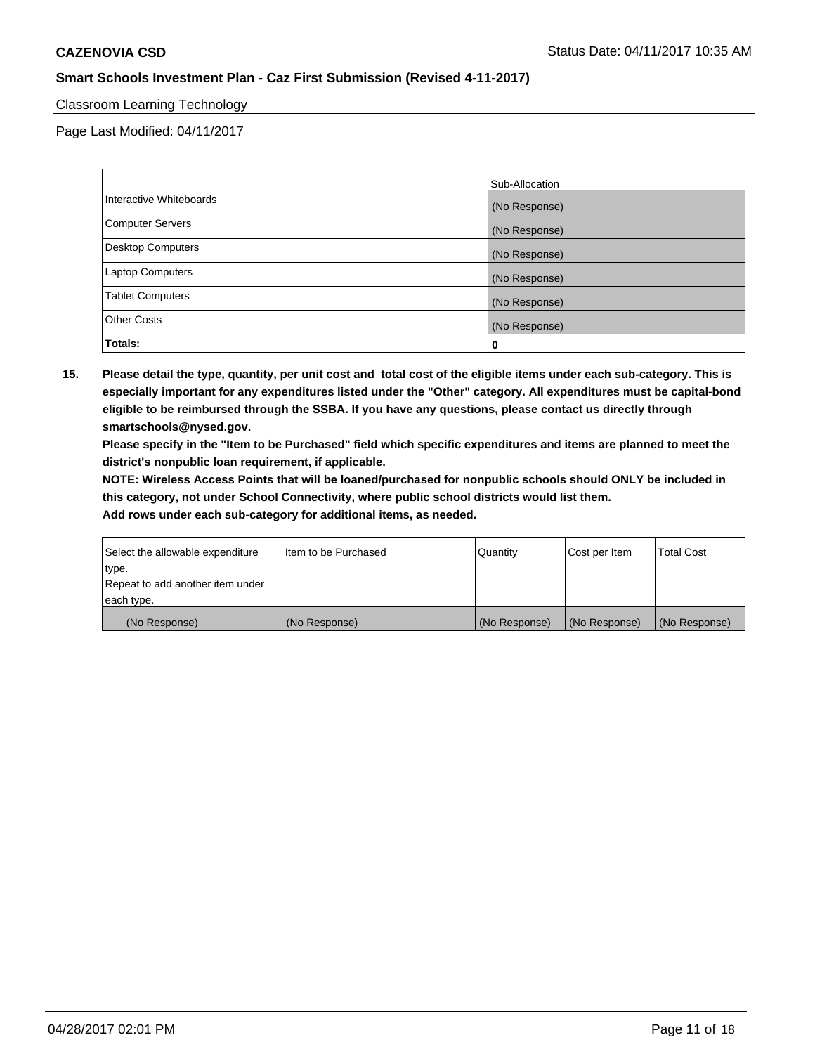### Classroom Learning Technology

Page Last Modified: 04/11/2017

|                          | Sub-Allocation |
|--------------------------|----------------|
| Interactive Whiteboards  | (No Response)  |
| Computer Servers         | (No Response)  |
| <b>Desktop Computers</b> | (No Response)  |
| Laptop Computers         | (No Response)  |
| <b>Tablet Computers</b>  | (No Response)  |
| <b>Other Costs</b>       | (No Response)  |
| Totals:                  | 0              |

**15. Please detail the type, quantity, per unit cost and total cost of the eligible items under each sub-category. This is especially important for any expenditures listed under the "Other" category. All expenditures must be capital-bond eligible to be reimbursed through the SSBA. If you have any questions, please contact us directly through smartschools@nysed.gov.**

**Please specify in the "Item to be Purchased" field which specific expenditures and items are planned to meet the district's nonpublic loan requirement, if applicable.**

**NOTE: Wireless Access Points that will be loaned/purchased for nonpublic schools should ONLY be included in this category, not under School Connectivity, where public school districts would list them.**

| Select the allowable expenditure<br>∣type. | Iltem to be Purchased | Quantity      | Cost per Item | <b>Total Cost</b> |
|--------------------------------------------|-----------------------|---------------|---------------|-------------------|
| Repeat to add another item under           |                       |               |               |                   |
| each type.                                 |                       |               |               |                   |
| (No Response)                              | (No Response)         | (No Response) | (No Response) | (No Response)     |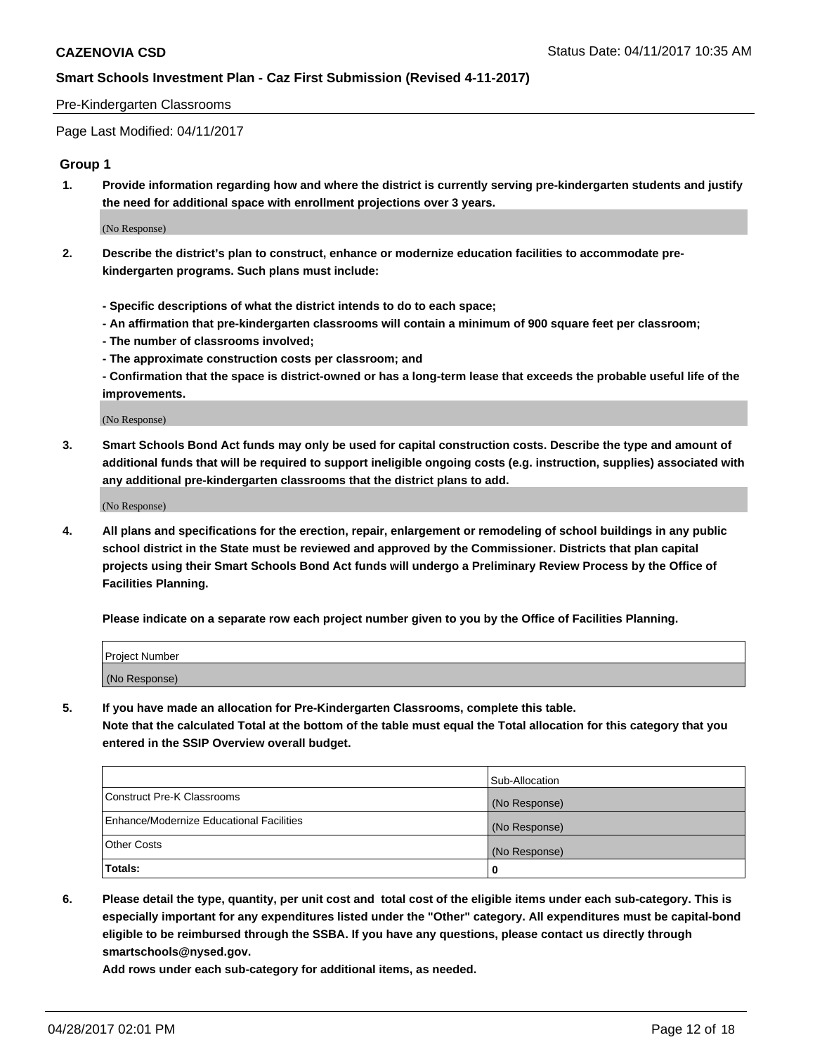#### Pre-Kindergarten Classrooms

Page Last Modified: 04/11/2017

#### **Group 1**

**1. Provide information regarding how and where the district is currently serving pre-kindergarten students and justify the need for additional space with enrollment projections over 3 years.**

(No Response)

- **2. Describe the district's plan to construct, enhance or modernize education facilities to accommodate prekindergarten programs. Such plans must include:**
	- **Specific descriptions of what the district intends to do to each space;**
	- **An affirmation that pre-kindergarten classrooms will contain a minimum of 900 square feet per classroom;**
	- **The number of classrooms involved;**
	- **The approximate construction costs per classroom; and**
	- **Confirmation that the space is district-owned or has a long-term lease that exceeds the probable useful life of the improvements.**

(No Response)

**3. Smart Schools Bond Act funds may only be used for capital construction costs. Describe the type and amount of additional funds that will be required to support ineligible ongoing costs (e.g. instruction, supplies) associated with any additional pre-kindergarten classrooms that the district plans to add.**

(No Response)

**4. All plans and specifications for the erection, repair, enlargement or remodeling of school buildings in any public school district in the State must be reviewed and approved by the Commissioner. Districts that plan capital projects using their Smart Schools Bond Act funds will undergo a Preliminary Review Process by the Office of Facilities Planning.**

**Please indicate on a separate row each project number given to you by the Office of Facilities Planning.**

| Project Number |  |
|----------------|--|
| (No Response)  |  |

**5. If you have made an allocation for Pre-Kindergarten Classrooms, complete this table. Note that the calculated Total at the bottom of the table must equal the Total allocation for this category that you entered in the SSIP Overview overall budget.**

| Totals:                                  | 0              |
|------------------------------------------|----------------|
| Other Costs                              | (No Response)  |
| Enhance/Modernize Educational Facilities | (No Response)  |
| Construct Pre-K Classrooms               | (No Response)  |
|                                          | Sub-Allocation |

**6. Please detail the type, quantity, per unit cost and total cost of the eligible items under each sub-category. This is especially important for any expenditures listed under the "Other" category. All expenditures must be capital-bond eligible to be reimbursed through the SSBA. If you have any questions, please contact us directly through smartschools@nysed.gov.**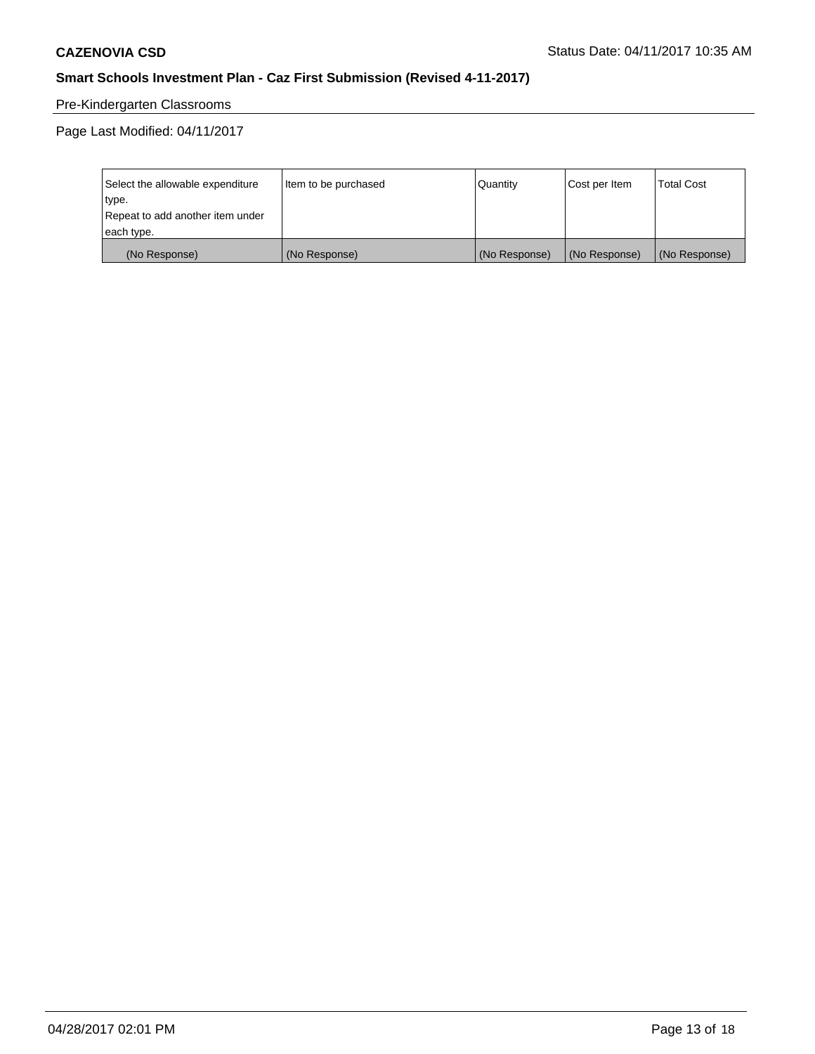# Pre-Kindergarten Classrooms

| Select the allowable expenditure | Item to be purchased | Quantity      | Cost per Item | <b>Total Cost</b> |
|----------------------------------|----------------------|---------------|---------------|-------------------|
| type.                            |                      |               |               |                   |
| Repeat to add another item under |                      |               |               |                   |
| each type.                       |                      |               |               |                   |
| (No Response)                    | (No Response)        | (No Response) | (No Response) | (No Response)     |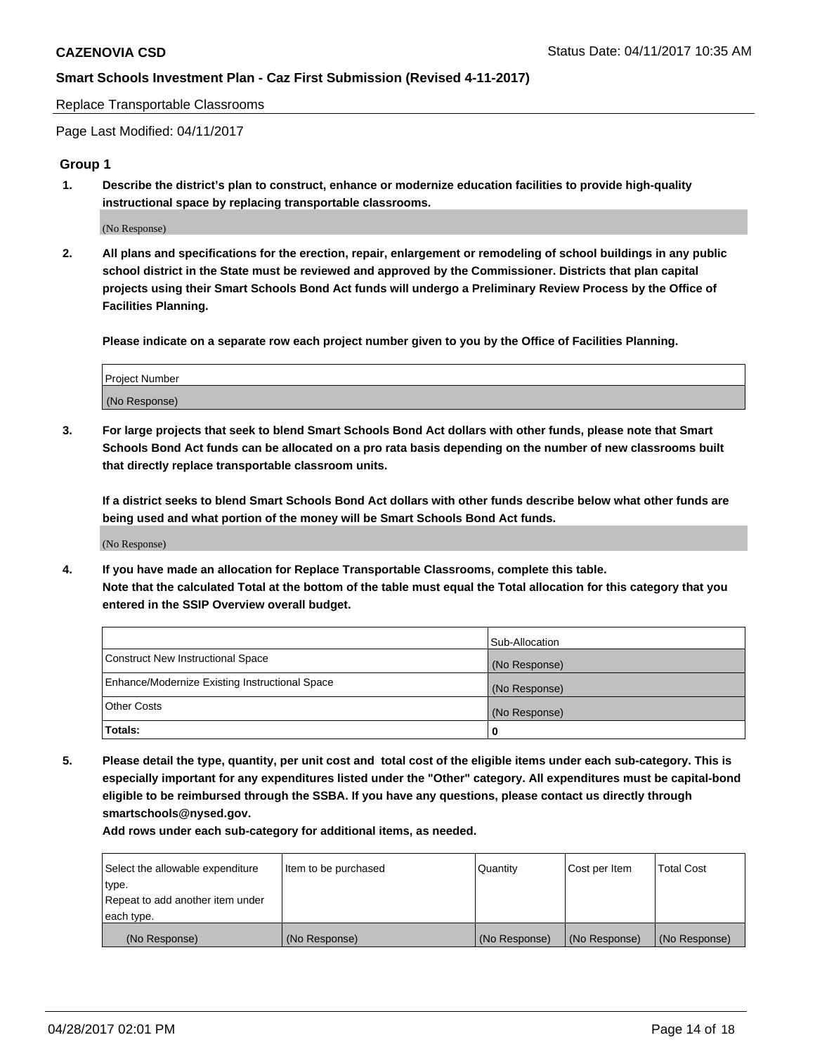Replace Transportable Classrooms

Page Last Modified: 04/11/2017

#### **Group 1**

**1. Describe the district's plan to construct, enhance or modernize education facilities to provide high-quality instructional space by replacing transportable classrooms.**

(No Response)

**2. All plans and specifications for the erection, repair, enlargement or remodeling of school buildings in any public school district in the State must be reviewed and approved by the Commissioner. Districts that plan capital projects using their Smart Schools Bond Act funds will undergo a Preliminary Review Process by the Office of Facilities Planning.**

**Please indicate on a separate row each project number given to you by the Office of Facilities Planning.**

| Project Number |  |
|----------------|--|
| (No Response)  |  |

**3. For large projects that seek to blend Smart Schools Bond Act dollars with other funds, please note that Smart Schools Bond Act funds can be allocated on a pro rata basis depending on the number of new classrooms built that directly replace transportable classroom units.**

**If a district seeks to blend Smart Schools Bond Act dollars with other funds describe below what other funds are being used and what portion of the money will be Smart Schools Bond Act funds.**

(No Response)

**4. If you have made an allocation for Replace Transportable Classrooms, complete this table. Note that the calculated Total at the bottom of the table must equal the Total allocation for this category that you entered in the SSIP Overview overall budget.**

|                                                | Sub-Allocation |
|------------------------------------------------|----------------|
| Construct New Instructional Space              | (No Response)  |
| Enhance/Modernize Existing Instructional Space | (No Response)  |
| Other Costs                                    | (No Response)  |
| Totals:                                        | $\Omega$       |

**5. Please detail the type, quantity, per unit cost and total cost of the eligible items under each sub-category. This is especially important for any expenditures listed under the "Other" category. All expenditures must be capital-bond eligible to be reimbursed through the SSBA. If you have any questions, please contact us directly through smartschools@nysed.gov.**

| Select the allowable expenditure | Item to be purchased | Quantity      | Cost per Item | <b>Total Cost</b> |
|----------------------------------|----------------------|---------------|---------------|-------------------|
| type.                            |                      |               |               |                   |
| Repeat to add another item under |                      |               |               |                   |
| each type.                       |                      |               |               |                   |
| (No Response)                    | (No Response)        | (No Response) | (No Response) | (No Response)     |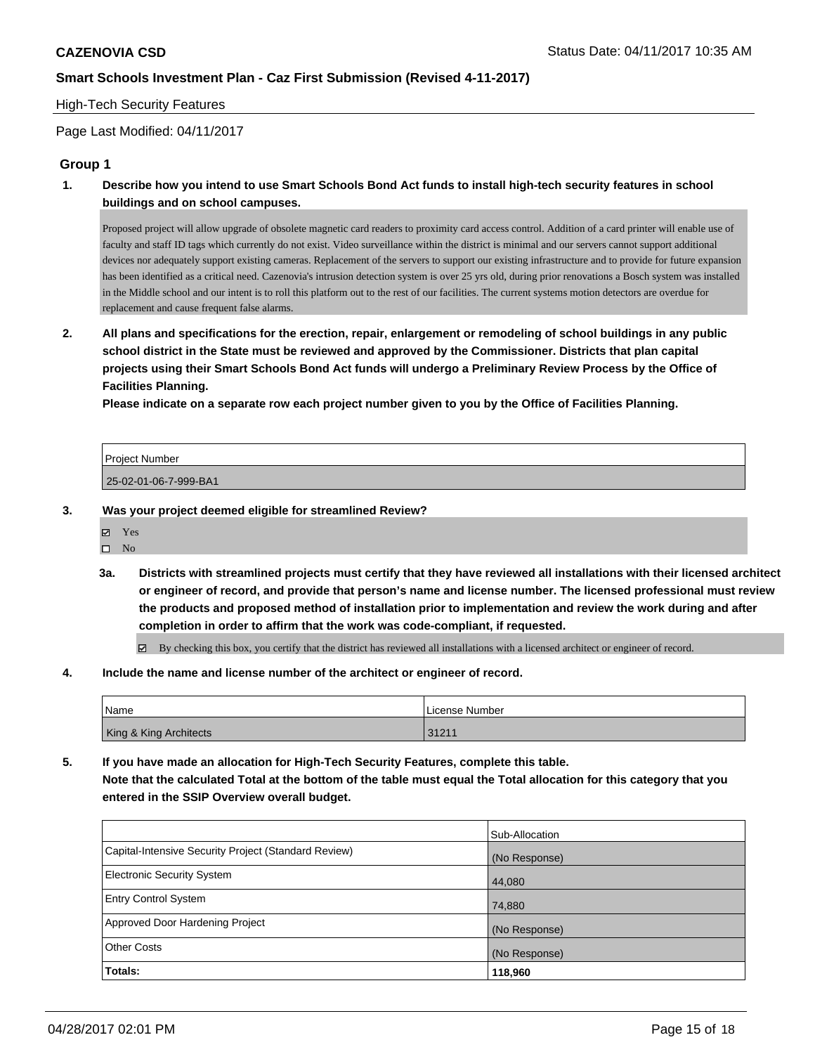#### High-Tech Security Features

Page Last Modified: 04/11/2017

### **Group 1**

**1. Describe how you intend to use Smart Schools Bond Act funds to install high-tech security features in school buildings and on school campuses.**

Proposed project will allow upgrade of obsolete magnetic card readers to proximity card access control. Addition of a card printer will enable use of faculty and staff ID tags which currently do not exist. Video surveillance within the district is minimal and our servers cannot support additional devices nor adequately support existing cameras. Replacement of the servers to support our existing infrastructure and to provide for future expansion has been identified as a critical need. Cazenovia's intrusion detection system is over 25 yrs old, during prior renovations a Bosch system was installed in the Middle school and our intent is to roll this platform out to the rest of our facilities. The current systems motion detectors are overdue for replacement and cause frequent false alarms.

**2. All plans and specifications for the erection, repair, enlargement or remodeling of school buildings in any public school district in the State must be reviewed and approved by the Commissioner. Districts that plan capital projects using their Smart Schools Bond Act funds will undergo a Preliminary Review Process by the Office of Facilities Planning.** 

**Please indicate on a separate row each project number given to you by the Office of Facilities Planning.**

| Project Number        |  |
|-----------------------|--|
| 25-02-01-06-7-999-BA1 |  |

- **3. Was your project deemed eligible for streamlined Review?**
	- Yes
	- $\square$  No
	- **3a. Districts with streamlined projects must certify that they have reviewed all installations with their licensed architect or engineer of record, and provide that person's name and license number. The licensed professional must review the products and proposed method of installation prior to implementation and review the work during and after completion in order to affirm that the work was code-compliant, if requested.**

By checking this box, you certify that the district has reviewed all installations with a licensed architect or engineer of record.

**4. Include the name and license number of the architect or engineer of record.**

| <b>Name</b>            | License Number |
|------------------------|----------------|
| King & King Architects | 31211          |

**5. If you have made an allocation for High-Tech Security Features, complete this table. Note that the calculated Total at the bottom of the table must equal the Total allocation for this category that you entered in the SSIP Overview overall budget.**

|                                                      | Sub-Allocation |
|------------------------------------------------------|----------------|
| Capital-Intensive Security Project (Standard Review) | (No Response)  |
| <b>Electronic Security System</b>                    | 44,080         |
| <b>Entry Control System</b>                          | 74,880         |
| Approved Door Hardening Project                      | (No Response)  |
| <b>Other Costs</b>                                   | (No Response)  |
| Totals:                                              | 118,960        |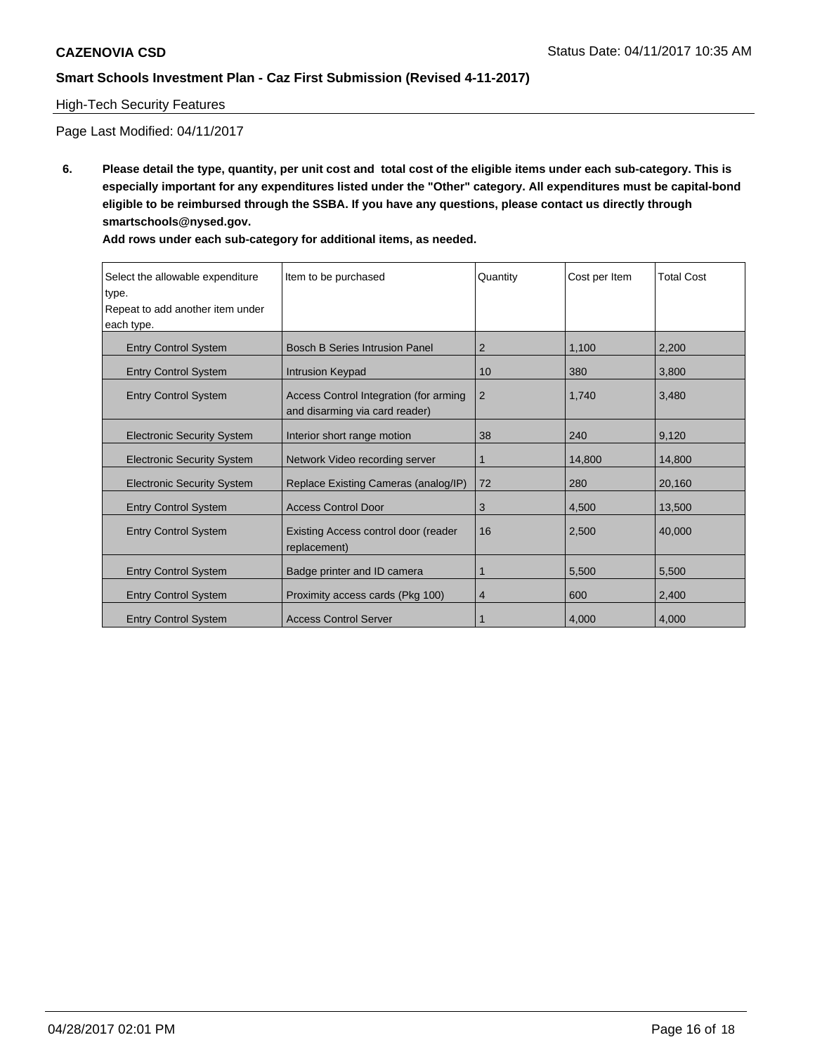# High-Tech Security Features

Page Last Modified: 04/11/2017

**6. Please detail the type, quantity, per unit cost and total cost of the eligible items under each sub-category. This is especially important for any expenditures listed under the "Other" category. All expenditures must be capital-bond eligible to be reimbursed through the SSBA. If you have any questions, please contact us directly through smartschools@nysed.gov.**

| Select the allowable expenditure<br>type.<br>Repeat to add another item under<br>each type. | Item to be purchased                                                     | Quantity       | Cost per Item | <b>Total Cost</b> |
|---------------------------------------------------------------------------------------------|--------------------------------------------------------------------------|----------------|---------------|-------------------|
| <b>Entry Control System</b>                                                                 | <b>Bosch B Series Intrusion Panel</b>                                    | 2              | 1,100         | 2,200             |
| <b>Entry Control System</b>                                                                 | <b>Intrusion Keypad</b>                                                  | 10             | 380           | 3.800             |
| <b>Entry Control System</b>                                                                 | Access Control Integration (for arming<br>and disarming via card reader) | 2              | 1,740         | 3,480             |
| <b>Electronic Security System</b>                                                           | Interior short range motion                                              | 38             | 240           | 9,120             |
| <b>Electronic Security System</b>                                                           | Network Video recording server                                           | 1              | 14,800        | 14.800            |
| <b>Electronic Security System</b>                                                           | Replace Existing Cameras (analog/IP)                                     | 72             | 280           | 20,160            |
| <b>Entry Control System</b>                                                                 | <b>Access Control Door</b>                                               | 3              | 4,500         | 13,500            |
| <b>Entry Control System</b>                                                                 | Existing Access control door (reader<br>replacement)                     | 16             | 2,500         | 40,000            |
| <b>Entry Control System</b>                                                                 | Badge printer and ID camera                                              | 1              | 5,500         | 5,500             |
| <b>Entry Control System</b>                                                                 | Proximity access cards (Pkg 100)                                         | $\overline{4}$ | 600           | 2,400             |
| <b>Entry Control System</b>                                                                 | <b>Access Control Server</b>                                             |                | 4,000         | 4,000             |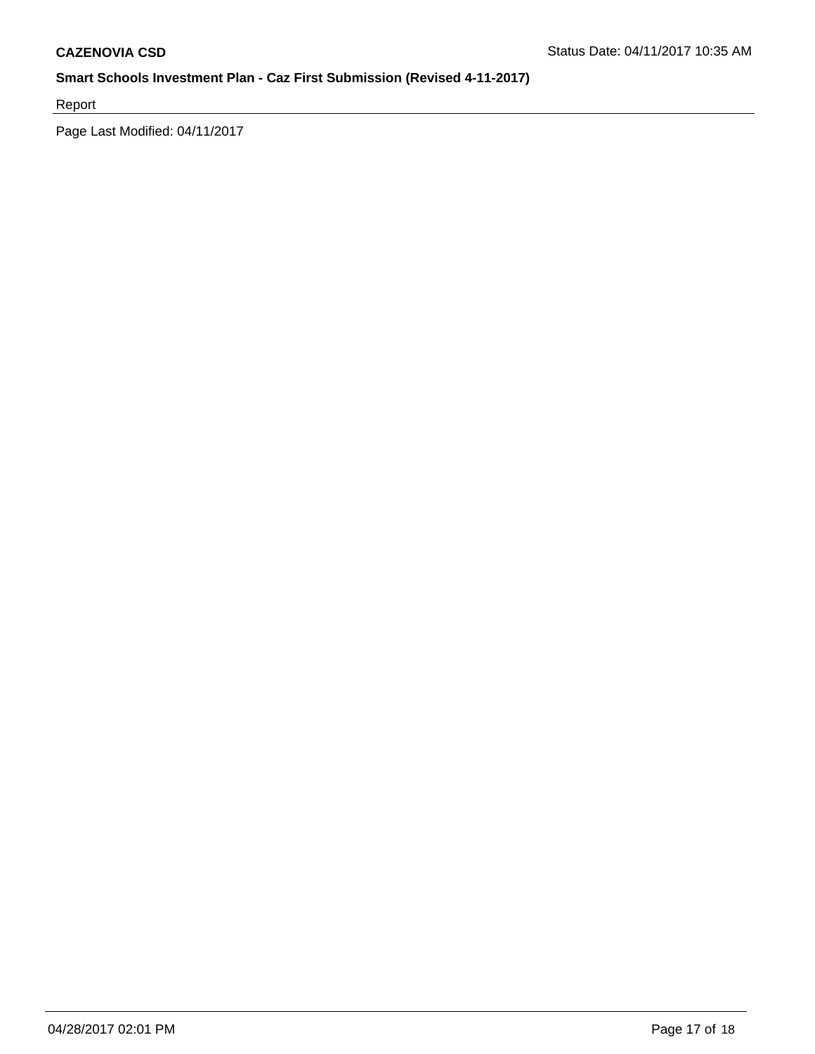Report